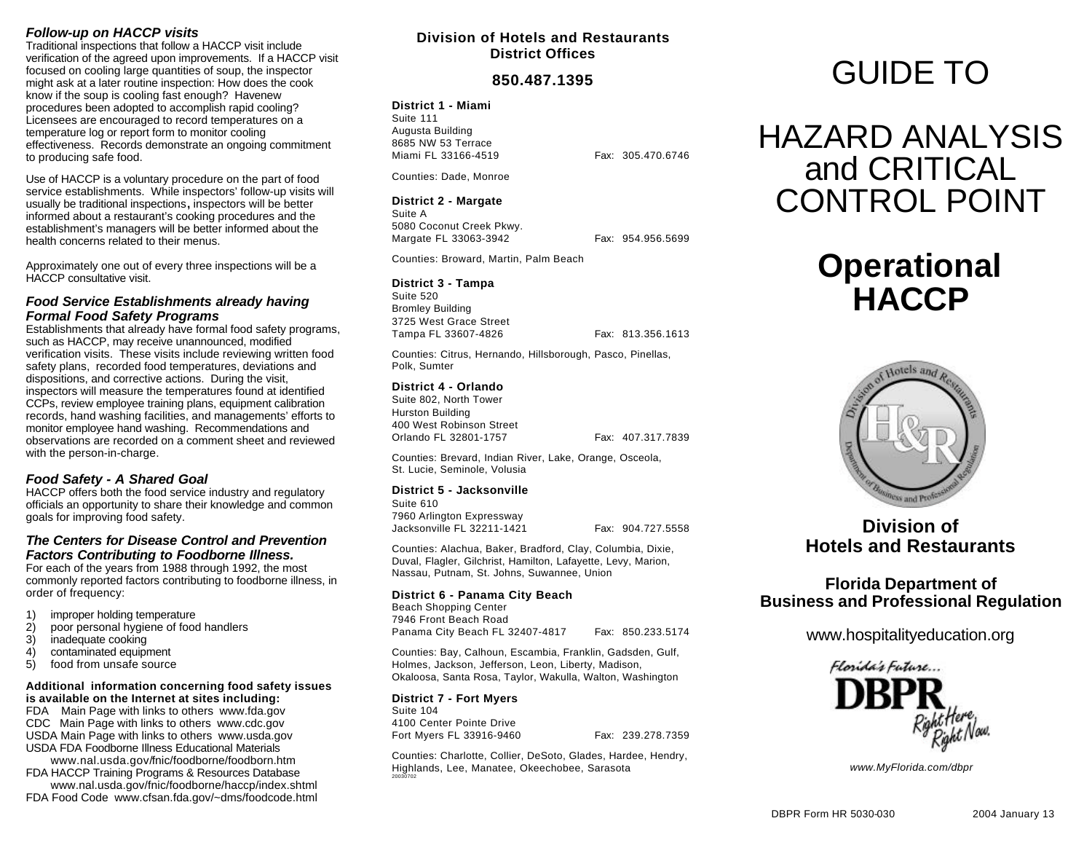## *Follow-up on HACCP visits*

Traditional inspections that follow a HACCP visit include verification of the agreed upon improvements. If a HACCP visit focused on cooling large quantities of soup, the inspector might ask at a later routine inspection: How does the cook know if the soup is cooling fast enough? Havenew procedures been adopted to accomplish rapid cooling? Licensees are encouraged to record temperatures on a temperature log or report form to monitor cooling effectiveness. Records demonstrate an ongoing commitment to producing safe food.

Use of HACCP is a voluntary procedure on the part of food service establishments. While inspectors' follow-up visits will usually be traditional inspections**,** inspectors will be better informed about a restaurant's cooking procedures and the establishment's managers will be better informed about the health concerns related to their menus.

Approximately one out of every three inspections will be a HACCP consultative visit.

## *Food Service Establishments already having Formal Food Safety Programs*

Establishments that already have formal food safety programs, such as HACCP, may receive unannounced, modified verification visits. These visits include reviewing written food safety plans, recorded food temperatures, deviations and dispositions, and corrective actions. During the visit, inspectors will measure the temperatures found at identified CCPs, review employee training plans, equipment calibration records, hand washing facilities, and managements' efforts to monitor employee hand washing. Recommendations and observations are recorded on a comment sheet and reviewed with the person-in-charge.

## *Food Safety - A Shared Goal*

HACCP offers both the food service industry and regulatory officials an opportunity to share their knowledge and common goals for improving food safety.

### *The Centers for Disease Control and Prevention Factors Contributing to Foodborne Illness.*

For each of the years from 1988 through 1992, the most commonly reported factors contributing to foodborne illness, in order of frequency:

- 1) improper holding temperature<br>2) poor personal hygiene of food
- poor personal hygiene of food handlers
- 3) inadequate cooking
- 4) contaminated equipment<br>5) food from unsafe source
- food from unsafe source

#### **Additional information concerning food safety issues is available on the Internet at sites including:**

FDA Main Page with links to others www.fda.gov CDC Main Page with links to others www.cdc.gov USDA Main Page with links to others www.usda.gov USDA FDA Foodborne Illness Educational Materials

www.nal.usda.gov/fnic/foodborne/foodborn.htm FDA HACCP Training Programs & Resources Database www.nal.usda.gov/fnic/foodborne/haccp/index.shtml

FDA Food Code www.cfsan.fda.gov/~dms/foodcode.html

## **Division of Hotels and Restaurants District Offices**

## **850.487.1395**

**District 1 - Miami** Suite 111 Augusta Building 8685 NW 53 Terrace Miami FL 33166-4519 Fax: 305.470.6746

Counties: Dade, Monroe

#### **District 2 - Margate**

Suite A 5080 Coconut Creek Pkwy. Margate FL 33063-3942 Fax: 954.956.5699

Counties: Broward, Martin, Palm Beach

### **District 3 - Tampa**

Suite 520 Bromley Building 3725 West Grace Street Tampa FL 33607-4826 Fax: 813.356.1613

Counties: Citrus, Hernando, Hillsborough, Pasco, Pinellas, Polk, Sumter

#### **District 4 - Orlando**

Suite 802, North Tower Hurston Building 400 West Robinson Street Orlando FL 32801-1757 Fax: 407.317.7839

Counties: Brevard, Indian River, Lake, Orange, Osceola, St. Lucie, Seminole, Volusia

#### **District 5 - Jacksonville**

Suite 610 7960 Arlington Expressway Jacksonville FL 32211-1421 Fax: 904.727.5558

Counties: Alachua, Baker, Bradford, Clay, Columbia, Dixie, Duval, Flagler, Gilchrist, Hamilton, Lafayette, Levy, Marion, Nassau, Putnam, St. Johns, Suwannee, Union

### **District 6 - Panama City Beach**

Beach Shopping Center 7946 Front Beach Road Panama City Beach FL 32407-4817 Fax: 850.233.5174

Counties: Bay, Calhoun, Escambia, Franklin, Gadsden, Gulf, Holmes, Jackson, Jefferson, Leon, Liberty, Madison, Okaloosa, Santa Rosa, Taylor, Wakulla, Walton, Washington

**District 7 - Fort Myers** Suite 104 4100 Center Pointe Drive Fort Myers FL 33916-9460 Fax: 239.278.7359

Counties: Charlotte, Collier, DeSoto, Glades, Hardee, Hendry, Highlands, Lee, Manatee, Okeechobee, Sarasota 20030702

# GUIDE TO

## HAZARD ANALYSIS and CRITICAL CONTROL POINT

## **Operational HACCP**



## **Division of Hotels and Restaurants**

## **Florida Department of Business and Professional Regulation**

www.hospitalityeducation.org



*www.MyFlorida.com/dbpr*